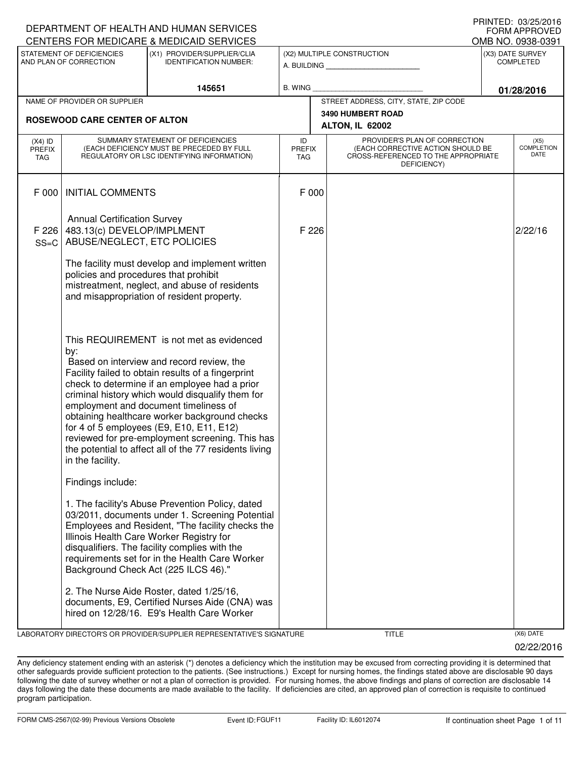|                                   |                                                                                                 | DEPARTMENT OF HEALTH AND HUMAN SERVICES                                                                                                                                                                                                                                                                                                                                                                                                                                                             |                                   |                                                                                                                          | I IUIN LLU. VUZUZU I V<br><b>FORM APPROVED</b> |
|-----------------------------------|-------------------------------------------------------------------------------------------------|-----------------------------------------------------------------------------------------------------------------------------------------------------------------------------------------------------------------------------------------------------------------------------------------------------------------------------------------------------------------------------------------------------------------------------------------------------------------------------------------------------|-----------------------------------|--------------------------------------------------------------------------------------------------------------------------|------------------------------------------------|
|                                   |                                                                                                 | CENTERS FOR MEDICARE & MEDICAID SERVICES                                                                                                                                                                                                                                                                                                                                                                                                                                                            |                                   |                                                                                                                          | OMB NO. 0938-0391                              |
|                                   | STATEMENT OF DEFICIENCIES<br>AND PLAN OF CORRECTION                                             | (X1) PROVIDER/SUPPLIER/CLIA<br><b>IDENTIFICATION NUMBER:</b>                                                                                                                                                                                                                                                                                                                                                                                                                                        |                                   | (X2) MULTIPLE CONSTRUCTION<br>A. BUILDING                                                                                | (X3) DATE SURVEY<br><b>COMPLETED</b>           |
|                                   |                                                                                                 | 145651                                                                                                                                                                                                                                                                                                                                                                                                                                                                                              | <b>B. WING</b>                    |                                                                                                                          | 01/28/2016                                     |
|                                   | NAME OF PROVIDER OR SUPPLIER                                                                    |                                                                                                                                                                                                                                                                                                                                                                                                                                                                                                     |                                   | STREET ADDRESS, CITY, STATE, ZIP CODE                                                                                    |                                                |
|                                   | <b>ROSEWOOD CARE CENTER OF ALTON</b>                                                            |                                                                                                                                                                                                                                                                                                                                                                                                                                                                                                     |                                   | <b>3490 HUMBERT ROAD</b>                                                                                                 |                                                |
|                                   |                                                                                                 |                                                                                                                                                                                                                                                                                                                                                                                                                                                                                                     |                                   | ALTON, IL 62002                                                                                                          |                                                |
| $(X4)$ ID<br>PREFIX<br><b>TAG</b> |                                                                                                 | SUMMARY STATEMENT OF DEFICIENCIES<br>(EACH DEFICIENCY MUST BE PRECEDED BY FULL<br>REGULATORY OR LSC IDENTIFYING INFORMATION)                                                                                                                                                                                                                                                                                                                                                                        | ID<br><b>PREFIX</b><br><b>TAG</b> | PROVIDER'S PLAN OF CORRECTION<br>(EACH CORRECTIVE ACTION SHOULD BE<br>CROSS-REFERENCED TO THE APPROPRIATE<br>DEFICIENCY) | (X5)<br><b>COMPLETION</b><br>DATE              |
| F 000                             | <b>INITIAL COMMENTS</b>                                                                         |                                                                                                                                                                                                                                                                                                                                                                                                                                                                                                     | F 000                             |                                                                                                                          |                                                |
| F 226<br>$SS=C$                   | <b>Annual Certification Survey</b><br>483.13(c) DEVELOP/IMPLMENT<br>ABUSE/NEGLECT, ETC POLICIES |                                                                                                                                                                                                                                                                                                                                                                                                                                                                                                     | F 226                             |                                                                                                                          | 2/22/16                                        |
|                                   | policies and procedures that prohibit                                                           | The facility must develop and implement written<br>mistreatment, neglect, and abuse of residents<br>and misappropriation of resident property.                                                                                                                                                                                                                                                                                                                                                      |                                   |                                                                                                                          |                                                |
|                                   | by:<br>in the facility.                                                                         | This REQUIREMENT is not met as evidenced<br>Based on interview and record review, the<br>Facility failed to obtain results of a fingerprint<br>check to determine if an employee had a prior<br>criminal history which would disqualify them for<br>employment and document timeliness of<br>obtaining healthcare worker background checks<br>for 4 of 5 employees (E9, E10, E11, E12)<br>reviewed for pre-employment screening. This has<br>the potential to affect all of the 77 residents living |                                   |                                                                                                                          |                                                |
|                                   | Findings include:                                                                               | 1. The facility's Abuse Prevention Policy, dated<br>03/2011, documents under 1. Screening Potential<br>Employees and Resident, "The facility checks the<br>Illinois Health Care Worker Registry for<br>disqualifiers. The facility complies with the<br>requirements set for in the Health Care Worker<br>Background Check Act (225 ILCS 46)."<br>2. The Nurse Aide Roster, dated 1/25/16,                                                                                                          |                                   |                                                                                                                          |                                                |
|                                   |                                                                                                 | documents, E9, Certified Nurses Aide (CNA) was<br>hired on 12/28/16. E9's Health Care Worker                                                                                                                                                                                                                                                                                                                                                                                                        |                                   |                                                                                                                          |                                                |

LABORATORY DIRECTOR'S OR PROVIDER/SUPPLIER REPRESENTATIVE'S SIGNATURE TITLE TITLE THE TITLE (X6) DATE

02/22/2016

PRINTED: 03/25/2016

Any deficiency statement ending with an asterisk (\*) denotes a deficiency which the institution may be excused from correcting providing it is determined that other safeguards provide sufficient protection to the patients. (See instructions.) Except for nursing homes, the findings stated above are disclosable 90 days following the date of survey whether or not a plan of correction is provided. For nursing homes, the above findings and plans of correction are disclosable 14 days following the date these documents are made available to the facility. If deficiencies are cited, an approved plan of correction is requisite to continued program participation.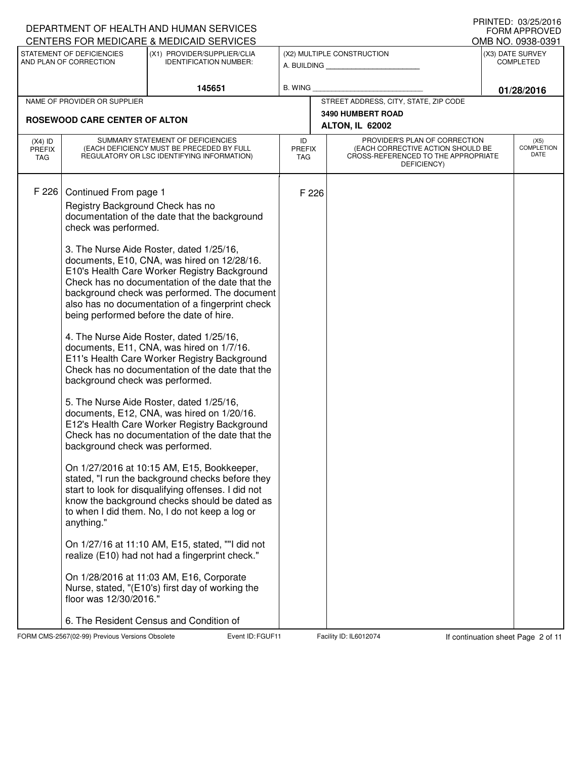|                                   |                                                                                                                                                                                                 | DEPARTMENT OF HEALTH AND HUMAN SERVICES<br>CENTERS FOR MEDICARE & MEDICAID SERVICES                                                                                                                                                                                                                                                                                                                                                                                                                                                                                                                                                                                                                                                                                                                                                                                                                                                                                                                                                                                                                                                                                                                                                                                                                |                                   |       |                                                                                                                          | <b>I INIVILD. VJZJZVIU</b><br><b>FORM APPROVED</b>        |
|-----------------------------------|-------------------------------------------------------------------------------------------------------------------------------------------------------------------------------------------------|----------------------------------------------------------------------------------------------------------------------------------------------------------------------------------------------------------------------------------------------------------------------------------------------------------------------------------------------------------------------------------------------------------------------------------------------------------------------------------------------------------------------------------------------------------------------------------------------------------------------------------------------------------------------------------------------------------------------------------------------------------------------------------------------------------------------------------------------------------------------------------------------------------------------------------------------------------------------------------------------------------------------------------------------------------------------------------------------------------------------------------------------------------------------------------------------------------------------------------------------------------------------------------------------------|-----------------------------------|-------|--------------------------------------------------------------------------------------------------------------------------|-----------------------------------------------------------|
|                                   | STATEMENT OF DEFICIENCIES<br>AND PLAN OF CORRECTION                                                                                                                                             | (X1) PROVIDER/SUPPLIER/CLIA<br><b>IDENTIFICATION NUMBER:</b>                                                                                                                                                                                                                                                                                                                                                                                                                                                                                                                                                                                                                                                                                                                                                                                                                                                                                                                                                                                                                                                                                                                                                                                                                                       |                                   |       | (X2) MULTIPLE CONSTRUCTION                                                                                               | OMB NO. 0938-0391<br>(X3) DATE SURVEY<br><b>COMPLETED</b> |
|                                   |                                                                                                                                                                                                 |                                                                                                                                                                                                                                                                                                                                                                                                                                                                                                                                                                                                                                                                                                                                                                                                                                                                                                                                                                                                                                                                                                                                                                                                                                                                                                    |                                   |       | A. BUILDING                                                                                                              |                                                           |
|                                   | NAME OF PROVIDER OR SUPPLIER                                                                                                                                                                    | 145651                                                                                                                                                                                                                                                                                                                                                                                                                                                                                                                                                                                                                                                                                                                                                                                                                                                                                                                                                                                                                                                                                                                                                                                                                                                                                             | <b>B. WING</b>                    |       | STREET ADDRESS, CITY, STATE, ZIP CODE                                                                                    | 01/28/2016                                                |
|                                   |                                                                                                                                                                                                 |                                                                                                                                                                                                                                                                                                                                                                                                                                                                                                                                                                                                                                                                                                                                                                                                                                                                                                                                                                                                                                                                                                                                                                                                                                                                                                    |                                   |       | <b>3490 HUMBERT ROAD</b>                                                                                                 |                                                           |
|                                   | <b>ROSEWOOD CARE CENTER OF ALTON</b>                                                                                                                                                            |                                                                                                                                                                                                                                                                                                                                                                                                                                                                                                                                                                                                                                                                                                                                                                                                                                                                                                                                                                                                                                                                                                                                                                                                                                                                                                    |                                   |       | ALTON, IL 62002                                                                                                          |                                                           |
| $(X4)$ ID<br><b>PREFIX</b><br>TAG |                                                                                                                                                                                                 | SUMMARY STATEMENT OF DEFICIENCIES<br>(EACH DEFICIENCY MUST BE PRECEDED BY FULL<br>REGULATORY OR LSC IDENTIFYING INFORMATION)                                                                                                                                                                                                                                                                                                                                                                                                                                                                                                                                                                                                                                                                                                                                                                                                                                                                                                                                                                                                                                                                                                                                                                       | ID<br><b>PREFIX</b><br><b>TAG</b> |       | PROVIDER'S PLAN OF CORRECTION<br>(EACH CORRECTIVE ACTION SHOULD BE<br>CROSS-REFERENCED TO THE APPROPRIATE<br>DEFICIENCY) | (X5)<br><b>COMPLETION</b><br><b>DATE</b>                  |
| F 226                             | Continued From page 1<br>Registry Background Check has no<br>check was performed.<br>background check was performed.<br>background check was performed.<br>anything."<br>floor was 12/30/2016." | documentation of the date that the background<br>3. The Nurse Aide Roster, dated 1/25/16,<br>documents, E10, CNA, was hired on 12/28/16.<br>E10's Health Care Worker Registry Background<br>Check has no documentation of the date that the<br>background check was performed. The document<br>also has no documentation of a fingerprint check<br>being performed before the date of hire.<br>4. The Nurse Aide Roster, dated 1/25/16,<br>documents, E11, CNA, was hired on 1/7/16.<br>E11's Health Care Worker Registry Background<br>Check has no documentation of the date that the<br>5. The Nurse Aide Roster, dated 1/25/16,<br>documents, E12, CNA, was hired on 1/20/16.<br>E12's Health Care Worker Registry Background<br>Check has no documentation of the date that the<br>On 1/27/2016 at 10:15 AM, E15, Bookkeeper,<br>stated, "I run the background checks before they<br>start to look for disqualifying offenses. I did not<br>know the background checks should be dated as<br>to when I did them. No, I do not keep a log or<br>On 1/27/16 at 11:10 AM, E15, stated, ""I did not<br>realize (E10) had not had a fingerprint check."<br>On 1/28/2016 at 11:03 AM, E16, Corporate<br>Nurse, stated, "(E10's) first day of working the<br>6. The Resident Census and Condition of |                                   | F 226 |                                                                                                                          |                                                           |

FORM CMS-2567(02-99) Previous Versions Obsolete Furth Event ID: FGUF11 Facility ID: IL6012074 If continuation sheet Page 2 of 11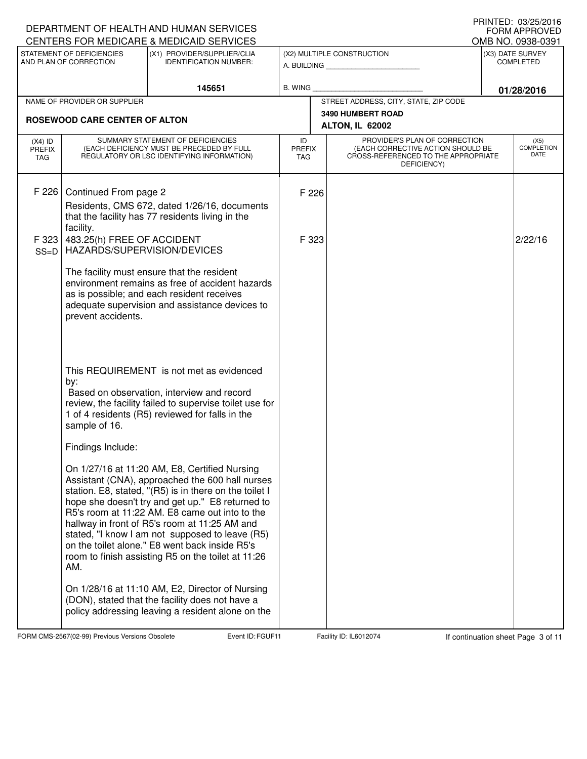|                                   |                                                                                                 | DEPARTMENT OF HEALTH AND HUMAN SERVICES<br>CENTERS FOR MEDICARE & MEDICAID SERVICES                                                                                                                                                                                                                                                                                                                                                                                          |                                   |                |                                                                                                                          | <b>I INIVILD. VJZJZVIU</b><br><b>FORM APPROVED</b> |
|-----------------------------------|-------------------------------------------------------------------------------------------------|------------------------------------------------------------------------------------------------------------------------------------------------------------------------------------------------------------------------------------------------------------------------------------------------------------------------------------------------------------------------------------------------------------------------------------------------------------------------------|-----------------------------------|----------------|--------------------------------------------------------------------------------------------------------------------------|----------------------------------------------------|
|                                   | STATEMENT OF DEFICIENCIES                                                                       | (X1) PROVIDER/SUPPLIER/CLIA                                                                                                                                                                                                                                                                                                                                                                                                                                                  |                                   |                | (X2) MULTIPLE CONSTRUCTION                                                                                               | OMB NO. 0938-0391<br>(X3) DATE SURVEY              |
|                                   | AND PLAN OF CORRECTION                                                                          | <b>IDENTIFICATION NUMBER:</b>                                                                                                                                                                                                                                                                                                                                                                                                                                                |                                   |                | A. BUILDING                                                                                                              | <b>COMPLETED</b>                                   |
|                                   |                                                                                                 | 145651                                                                                                                                                                                                                                                                                                                                                                                                                                                                       | <b>B. WING</b>                    |                |                                                                                                                          | 01/28/2016                                         |
|                                   | NAME OF PROVIDER OR SUPPLIER                                                                    |                                                                                                                                                                                                                                                                                                                                                                                                                                                                              |                                   |                | STREET ADDRESS, CITY, STATE, ZIP CODE                                                                                    |                                                    |
|                                   | <b>ROSEWOOD CARE CENTER OF ALTON</b>                                                            |                                                                                                                                                                                                                                                                                                                                                                                                                                                                              |                                   |                | <b>3490 HUMBERT ROAD</b><br>ALTON, IL 62002                                                                              |                                                    |
| $(X4)$ ID<br><b>PREFIX</b><br>TAG |                                                                                                 | SUMMARY STATEMENT OF DEFICIENCIES<br>(EACH DEFICIENCY MUST BE PRECEDED BY FULL<br>REGULATORY OR LSC IDENTIFYING INFORMATION)                                                                                                                                                                                                                                                                                                                                                 | ID<br><b>PREFIX</b><br><b>TAG</b> |                | PROVIDER'S PLAN OF CORRECTION<br>(EACH CORRECTIVE ACTION SHOULD BE<br>CROSS-REFERENCED TO THE APPROPRIATE<br>DEFICIENCY) | (X5)<br><b>COMPLETION</b><br>DATE                  |
| F 226<br>F 323<br>$SS=D$          | Continued From page 2<br>facility.<br>483.25(h) FREE OF ACCIDENT<br>HAZARDS/SUPERVISION/DEVICES | Residents, CMS 672, dated 1/26/16, documents<br>that the facility has 77 residents living in the                                                                                                                                                                                                                                                                                                                                                                             |                                   | F 226<br>F 323 |                                                                                                                          | 2/22/16                                            |
|                                   | prevent accidents.                                                                              | The facility must ensure that the resident<br>environment remains as free of accident hazards<br>as is possible; and each resident receives<br>adequate supervision and assistance devices to                                                                                                                                                                                                                                                                                |                                   |                |                                                                                                                          |                                                    |
|                                   | by:<br>sample of 16.                                                                            | This REQUIREMENT is not met as evidenced<br>Based on observation, interview and record<br>review, the facility failed to supervise toilet use for<br>1 of 4 residents (R5) reviewed for falls in the                                                                                                                                                                                                                                                                         |                                   |                |                                                                                                                          |                                                    |
|                                   | Findings Include:                                                                               |                                                                                                                                                                                                                                                                                                                                                                                                                                                                              |                                   |                |                                                                                                                          |                                                    |
|                                   | AM.                                                                                             | On 1/27/16 at 11:20 AM, E8, Certified Nursing<br>Assistant (CNA), approached the 600 hall nurses<br>station. E8, stated, "(R5) is in there on the toilet I<br>hope she doesn't try and get up." E8 returned to<br>R5's room at 11:22 AM. E8 came out into to the<br>hallway in front of R5's room at 11:25 AM and<br>stated, "I know I am not supposed to leave (R5)<br>on the toilet alone." E8 went back inside R5's<br>room to finish assisting R5 on the toilet at 11:26 |                                   |                |                                                                                                                          |                                                    |
|                                   |                                                                                                 | On 1/28/16 at 11:10 AM, E2, Director of Nursing<br>(DON), stated that the facility does not have a<br>policy addressing leaving a resident alone on the                                                                                                                                                                                                                                                                                                                      |                                   |                |                                                                                                                          |                                                    |

FORM CMS-2567(02-99) Previous Versions Obsolete Event ID: FGUF11 Facility ID: IL6012074 If continuation sheet Page 3 of 11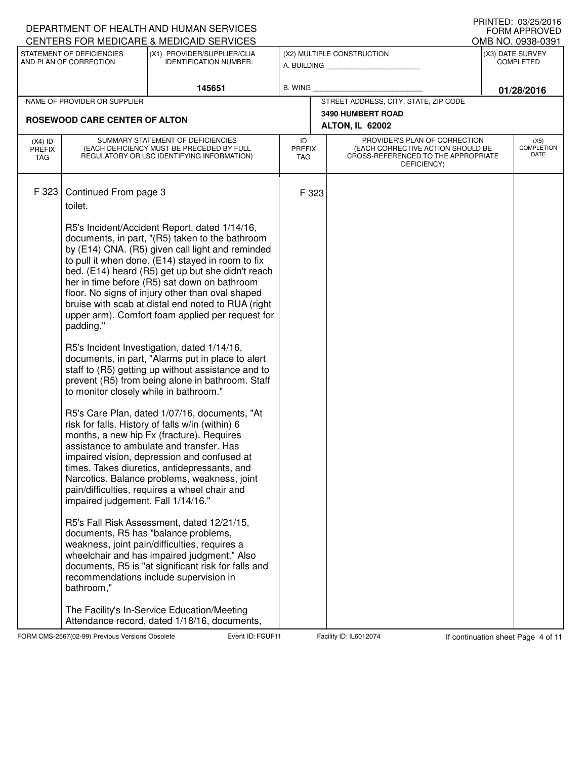|                                   |                                                                                                                                             | DEPARTMENT OF HEALTH AND HUMAN SERVICES<br>CENTERS FOR MEDICARE & MEDICAID SERVICES                                                                                                                                                                                                                                                                                                                                                                                                                                                                                                                                                                                                                                                                                                                                                                                                                                                                                                                                                                                                                                                                                                                                                                                                                                                                                                                                            |                            |       |                                                                                                                          |                                      | FRINTED. 03/23/2010<br><b>FORM APPROVED</b><br>OMB NO. 0938-0391 |
|-----------------------------------|---------------------------------------------------------------------------------------------------------------------------------------------|--------------------------------------------------------------------------------------------------------------------------------------------------------------------------------------------------------------------------------------------------------------------------------------------------------------------------------------------------------------------------------------------------------------------------------------------------------------------------------------------------------------------------------------------------------------------------------------------------------------------------------------------------------------------------------------------------------------------------------------------------------------------------------------------------------------------------------------------------------------------------------------------------------------------------------------------------------------------------------------------------------------------------------------------------------------------------------------------------------------------------------------------------------------------------------------------------------------------------------------------------------------------------------------------------------------------------------------------------------------------------------------------------------------------------------|----------------------------|-------|--------------------------------------------------------------------------------------------------------------------------|--------------------------------------|------------------------------------------------------------------|
|                                   | STATEMENT OF DEFICIENCIES<br>AND PLAN OF CORRECTION                                                                                         | (X1) PROVIDER/SUPPLIER/CLIA<br><b>IDENTIFICATION NUMBER:</b>                                                                                                                                                                                                                                                                                                                                                                                                                                                                                                                                                                                                                                                                                                                                                                                                                                                                                                                                                                                                                                                                                                                                                                                                                                                                                                                                                                   |                            |       | (X2) MULTIPLE CONSTRUCTION<br>A. BUILDING                                                                                | (X3) DATE SURVEY<br><b>COMPLETED</b> |                                                                  |
|                                   |                                                                                                                                             | 145651                                                                                                                                                                                                                                                                                                                                                                                                                                                                                                                                                                                                                                                                                                                                                                                                                                                                                                                                                                                                                                                                                                                                                                                                                                                                                                                                                                                                                         | <b>B. WING</b>             |       |                                                                                                                          |                                      | 01/28/2016                                                       |
|                                   | NAME OF PROVIDER OR SUPPLIER                                                                                                                |                                                                                                                                                                                                                                                                                                                                                                                                                                                                                                                                                                                                                                                                                                                                                                                                                                                                                                                                                                                                                                                                                                                                                                                                                                                                                                                                                                                                                                |                            |       | STREET ADDRESS, CITY, STATE, ZIP CODE                                                                                    |                                      |                                                                  |
|                                   | <b>ROSEWOOD CARE CENTER OF ALTON</b>                                                                                                        |                                                                                                                                                                                                                                                                                                                                                                                                                                                                                                                                                                                                                                                                                                                                                                                                                                                                                                                                                                                                                                                                                                                                                                                                                                                                                                                                                                                                                                |                            |       | <b>3490 HUMBERT ROAD</b>                                                                                                 |                                      |                                                                  |
|                                   |                                                                                                                                             |                                                                                                                                                                                                                                                                                                                                                                                                                                                                                                                                                                                                                                                                                                                                                                                                                                                                                                                                                                                                                                                                                                                                                                                                                                                                                                                                                                                                                                |                            |       | ALTON, IL 62002                                                                                                          |                                      |                                                                  |
| $(X4)$ ID<br><b>PREFIX</b><br>TAG |                                                                                                                                             | SUMMARY STATEMENT OF DEFICIENCIES<br>(EACH DEFICIENCY MUST BE PRECEDED BY FULL<br>REGULATORY OR LSC IDENTIFYING INFORMATION)                                                                                                                                                                                                                                                                                                                                                                                                                                                                                                                                                                                                                                                                                                                                                                                                                                                                                                                                                                                                                                                                                                                                                                                                                                                                                                   | ID<br><b>PREFIX</b><br>TAG |       | PROVIDER'S PLAN OF CORRECTION<br>(EACH CORRECTIVE ACTION SHOULD BE<br>CROSS-REFERENCED TO THE APPROPRIATE<br>DEFICIENCY) |                                      | (X5)<br><b>COMPLETION</b><br>DATE                                |
| F 323                             | Continued From page 3<br>toilet.<br>padding."<br>to monitor closely while in bathroom."<br>impaired judgement. Fall 1/14/16."<br>bathroom," | R5's Incident/Accident Report, dated 1/14/16,<br>documents, in part, "(R5) taken to the bathroom<br>by (E14) CNA. (R5) given call light and reminded<br>to pull it when done. (E14) stayed in room to fix<br>bed. (E14) heard (R5) get up but she didn't reach<br>her in time before (R5) sat down on bathroom<br>floor. No signs of injury other than oval shaped<br>bruise with scab at distal end noted to RUA (right<br>upper arm). Comfort foam applied per request for<br>R5's Incident Investigation, dated 1/14/16,<br>documents, in part, "Alarms put in place to alert<br>staff to (R5) getting up without assistance and to<br>prevent (R5) from being alone in bathroom. Staff<br>R5's Care Plan, dated 1/07/16, documents, "At<br>risk for falls. History of falls w/in (within) 6<br>months, a new hip Fx (fracture). Requires<br>assistance to ambulate and transfer. Has<br>impaired vision, depression and confused at<br>times. Takes diuretics, antidepressants, and<br>Narcotics. Balance problems, weakness, joint<br>pain/difficulties, requires a wheel chair and<br>R5's Fall Risk Assessment, dated 12/21/15,<br>documents, R5 has "balance problems,<br>weakness, joint pain/difficulties, requires a<br>wheelchair and has impaired judgment." Also<br>documents, R5 is "at significant risk for falls and<br>recommendations include supervision in<br>The Facility's In-Service Education/Meeting |                            | F 323 |                                                                                                                          |                                      |                                                                  |
|                                   |                                                                                                                                             | Attendance record, dated 1/18/16, documents,                                                                                                                                                                                                                                                                                                                                                                                                                                                                                                                                                                                                                                                                                                                                                                                                                                                                                                                                                                                                                                                                                                                                                                                                                                                                                                                                                                                   |                            |       |                                                                                                                          |                                      |                                                                  |

FORM CMS-2567(02-99) Previous Versions Obsolete Furth Event ID: FGUF11 Facility ID: IL6012074 If continuation sheet Page 4 of 11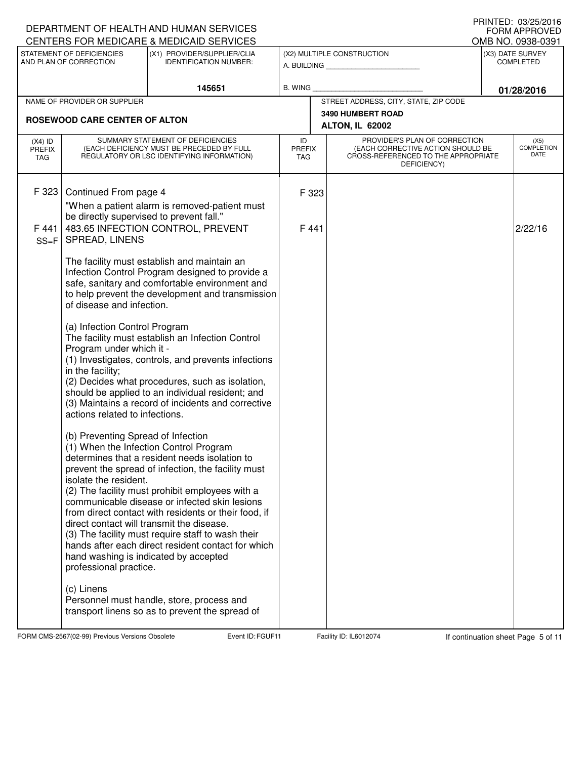|                                          |                                                                                                                                                                                                                                                                                                                                                                    | DEPARTMENT OF HEALTH AND HUMAN SERVICES<br>CENTERS FOR MEDICARE & MEDICAID SERVICES                                                                                                                                                                                                                                                                                                                                                                                                                                                                                                                                                                                                                                                                                                                                                                                                                                                                                                                  |                                   |                                                                                                                          | <b>I INIVILD. VJZJZVIU</b><br><b>FORM APPROVED</b><br>OMB NO. 0938-0391 |
|------------------------------------------|--------------------------------------------------------------------------------------------------------------------------------------------------------------------------------------------------------------------------------------------------------------------------------------------------------------------------------------------------------------------|------------------------------------------------------------------------------------------------------------------------------------------------------------------------------------------------------------------------------------------------------------------------------------------------------------------------------------------------------------------------------------------------------------------------------------------------------------------------------------------------------------------------------------------------------------------------------------------------------------------------------------------------------------------------------------------------------------------------------------------------------------------------------------------------------------------------------------------------------------------------------------------------------------------------------------------------------------------------------------------------------|-----------------------------------|--------------------------------------------------------------------------------------------------------------------------|-------------------------------------------------------------------------|
|                                          | STATEMENT OF DEFICIENCIES<br>AND PLAN OF CORRECTION                                                                                                                                                                                                                                                                                                                | (X1) PROVIDER/SUPPLIER/CLIA<br><b>IDENTIFICATION NUMBER:</b>                                                                                                                                                                                                                                                                                                                                                                                                                                                                                                                                                                                                                                                                                                                                                                                                                                                                                                                                         |                                   | (X2) MULTIPLE CONSTRUCTION<br>A. BUILDING                                                                                | (X3) DATE SURVEY<br><b>COMPLETED</b>                                    |
|                                          |                                                                                                                                                                                                                                                                                                                                                                    | 145651                                                                                                                                                                                                                                                                                                                                                                                                                                                                                                                                                                                                                                                                                                                                                                                                                                                                                                                                                                                               | <b>B. WING</b>                    |                                                                                                                          | 01/28/2016                                                              |
|                                          | NAME OF PROVIDER OR SUPPLIER                                                                                                                                                                                                                                                                                                                                       |                                                                                                                                                                                                                                                                                                                                                                                                                                                                                                                                                                                                                                                                                                                                                                                                                                                                                                                                                                                                      |                                   | STREET ADDRESS, CITY, STATE, ZIP CODE                                                                                    |                                                                         |
|                                          | <b>ROSEWOOD CARE CENTER OF ALTON</b>                                                                                                                                                                                                                                                                                                                               |                                                                                                                                                                                                                                                                                                                                                                                                                                                                                                                                                                                                                                                                                                                                                                                                                                                                                                                                                                                                      |                                   | <b>3490 HUMBERT ROAD</b><br>ALTON, IL 62002                                                                              |                                                                         |
| $(X4)$ ID<br><b>PREFIX</b><br><b>TAG</b> |                                                                                                                                                                                                                                                                                                                                                                    | SUMMARY STATEMENT OF DEFICIENCIES<br>(EACH DEFICIENCY MUST BE PRECEDED BY FULL<br>REGULATORY OR LSC IDENTIFYING INFORMATION)                                                                                                                                                                                                                                                                                                                                                                                                                                                                                                                                                                                                                                                                                                                                                                                                                                                                         | ID<br><b>PREFIX</b><br><b>TAG</b> | PROVIDER'S PLAN OF CORRECTION<br>(EACH CORRECTIVE ACTION SHOULD BE<br>CROSS-REFERENCED TO THE APPROPRIATE<br>DEFICIENCY) | (X5)<br><b>COMPLETION</b><br>DATE                                       |
| F 323<br>F441                            | Continued From page 4<br>be directly supervised to prevent fall."                                                                                                                                                                                                                                                                                                  | "When a patient alarm is removed-patient must<br>483.65 INFECTION CONTROL, PREVENT                                                                                                                                                                                                                                                                                                                                                                                                                                                                                                                                                                                                                                                                                                                                                                                                                                                                                                                   | F 323<br>F441                     |                                                                                                                          | 2/22/16                                                                 |
| $SS = F$                                 | <b>SPREAD, LINENS</b><br>of disease and infection.<br>(a) Infection Control Program<br>Program under which it -<br>in the facility;<br>actions related to infections.<br>(b) Preventing Spread of Infection<br>isolate the resident.<br>direct contact will transmit the disease.<br>hand washing is indicated by accepted<br>professional practice.<br>(c) Linens | The facility must establish and maintain an<br>Infection Control Program designed to provide a<br>safe, sanitary and comfortable environment and<br>to help prevent the development and transmission<br>The facility must establish an Infection Control<br>(1) Investigates, controls, and prevents infections<br>(2) Decides what procedures, such as isolation,<br>should be applied to an individual resident; and<br>(3) Maintains a record of incidents and corrective<br>(1) When the Infection Control Program<br>determines that a resident needs isolation to<br>prevent the spread of infection, the facility must<br>(2) The facility must prohibit employees with a<br>communicable disease or infected skin lesions<br>from direct contact with residents or their food, if<br>(3) The facility must require staff to wash their<br>hands after each direct resident contact for which<br>Personnel must handle, store, process and<br>transport linens so as to prevent the spread of |                                   |                                                                                                                          |                                                                         |

FORM CMS-2567(02-99) Previous Versions Obsolete Fund Fuent ID: FGUF11 Facility ID: IL6012074 If continuation sheet Page 5 of 11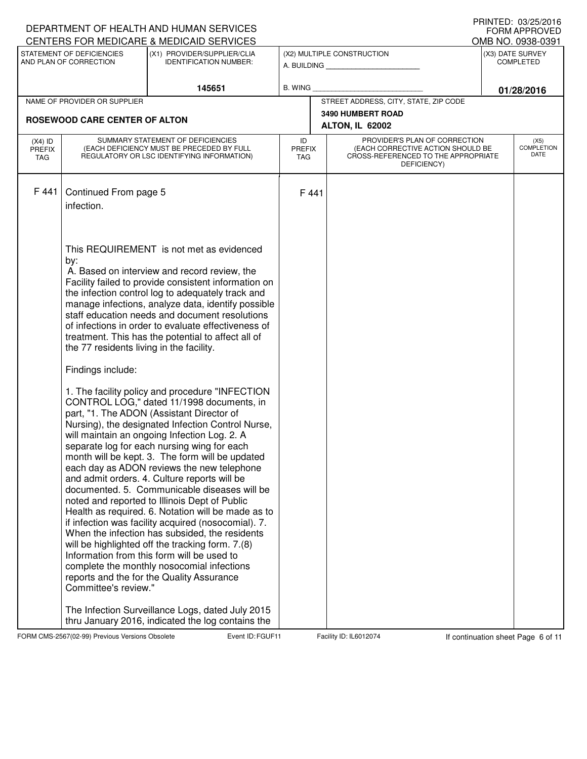|                                   |                                                                                              | DEPARTMENT OF HEALTH AND HUMAN SERVICES<br>CENTERS FOR MEDICARE & MEDICAID SERVICES                                                                                                                                                                                                                                                                                                                                                                                                                                                                                                                                                                                                                                                                                                                                                                                                                                                                                                                                                                                                                                                                                                                                                                                                                                                                                                                                                                |                                   |                                                                                                                          |                                      | PRINTED: 03/20/2010<br><b>FORM APPROVED</b><br>OMB NO. 0938-0391 |
|-----------------------------------|----------------------------------------------------------------------------------------------|----------------------------------------------------------------------------------------------------------------------------------------------------------------------------------------------------------------------------------------------------------------------------------------------------------------------------------------------------------------------------------------------------------------------------------------------------------------------------------------------------------------------------------------------------------------------------------------------------------------------------------------------------------------------------------------------------------------------------------------------------------------------------------------------------------------------------------------------------------------------------------------------------------------------------------------------------------------------------------------------------------------------------------------------------------------------------------------------------------------------------------------------------------------------------------------------------------------------------------------------------------------------------------------------------------------------------------------------------------------------------------------------------------------------------------------------------|-----------------------------------|--------------------------------------------------------------------------------------------------------------------------|--------------------------------------|------------------------------------------------------------------|
|                                   | STATEMENT OF DEFICIENCIES<br>AND PLAN OF CORRECTION                                          | (X1) PROVIDER/SUPPLIER/CLIA<br><b>IDENTIFICATION NUMBER:</b>                                                                                                                                                                                                                                                                                                                                                                                                                                                                                                                                                                                                                                                                                                                                                                                                                                                                                                                                                                                                                                                                                                                                                                                                                                                                                                                                                                                       |                                   | (X2) MULTIPLE CONSTRUCTION                                                                                               | (X3) DATE SURVEY<br><b>COMPLETED</b> |                                                                  |
|                                   |                                                                                              | 145651                                                                                                                                                                                                                                                                                                                                                                                                                                                                                                                                                                                                                                                                                                                                                                                                                                                                                                                                                                                                                                                                                                                                                                                                                                                                                                                                                                                                                                             | <b>B. WING</b>                    |                                                                                                                          |                                      | 01/28/2016                                                       |
|                                   | NAME OF PROVIDER OR SUPPLIER                                                                 |                                                                                                                                                                                                                                                                                                                                                                                                                                                                                                                                                                                                                                                                                                                                                                                                                                                                                                                                                                                                                                                                                                                                                                                                                                                                                                                                                                                                                                                    |                                   | STREET ADDRESS, CITY, STATE, ZIP CODE                                                                                    |                                      |                                                                  |
|                                   | <b>ROSEWOOD CARE CENTER OF ALTON</b>                                                         |                                                                                                                                                                                                                                                                                                                                                                                                                                                                                                                                                                                                                                                                                                                                                                                                                                                                                                                                                                                                                                                                                                                                                                                                                                                                                                                                                                                                                                                    |                                   | <b>3490 HUMBERT ROAD</b><br>ALTON, IL 62002                                                                              |                                      |                                                                  |
| $(X4)$ ID<br>PREFIX<br><b>TAG</b> |                                                                                              | SUMMARY STATEMENT OF DEFICIENCIES<br>(EACH DEFICIENCY MUST BE PRECEDED BY FULL<br>REGULATORY OR LSC IDENTIFYING INFORMATION)                                                                                                                                                                                                                                                                                                                                                                                                                                                                                                                                                                                                                                                                                                                                                                                                                                                                                                                                                                                                                                                                                                                                                                                                                                                                                                                       | ID<br><b>PREFIX</b><br><b>TAG</b> | PROVIDER'S PLAN OF CORRECTION<br>(EACH CORRECTIVE ACTION SHOULD BE<br>CROSS-REFERENCED TO THE APPROPRIATE<br>DEFICIENCY) |                                      | (X5)<br><b>COMPLETION</b><br>DATE                                |
| F 441                             | Continued From page 5<br>infection.                                                          |                                                                                                                                                                                                                                                                                                                                                                                                                                                                                                                                                                                                                                                                                                                                                                                                                                                                                                                                                                                                                                                                                                                                                                                                                                                                                                                                                                                                                                                    | F441                              |                                                                                                                          |                                      |                                                                  |
|                                   | by:<br>the 77 residents living in the facility.<br>Findings include:<br>Committee's review." | This REQUIREMENT is not met as evidenced<br>A. Based on interview and record review, the<br>Facility failed to provide consistent information on<br>the infection control log to adequately track and<br>manage infections, analyze data, identify possible<br>staff education needs and document resolutions<br>of infections in order to evaluate effectiveness of<br>treatment. This has the potential to affect all of<br>1. The facility policy and procedure "INFECTION<br>CONTROL LOG," dated 11/1998 documents, in<br>part, "1. The ADON (Assistant Director of<br>Nursing), the designated Infection Control Nurse,<br>will maintain an ongoing Infection Log. 2. A<br>separate log for each nursing wing for each<br>month will be kept. 3. The form will be updated<br>each day as ADON reviews the new telephone<br>and admit orders. 4. Culture reports will be<br>documented, 5. Communicable diseases will be<br>noted and reported to Illinois Dept of Public<br>Health as required. 6. Notation will be made as to<br>if infection was facility acquired (nosocomial). 7.<br>When the infection has subsided, the residents<br>will be highlighted off the tracking form. 7.(8)<br>Information from this form will be used to<br>complete the monthly nosocomial infections<br>reports and the for the Quality Assurance<br>The Infection Surveillance Logs, dated July 2015<br>thru January 2016, indicated the log contains the |                                   |                                                                                                                          |                                      |                                                                  |

FORM CMS-2567(02-99) Previous Versions Obsolete Furth Event ID: FGUF11 Facility ID: IL6012074 If continuation sheet Page 6 of 11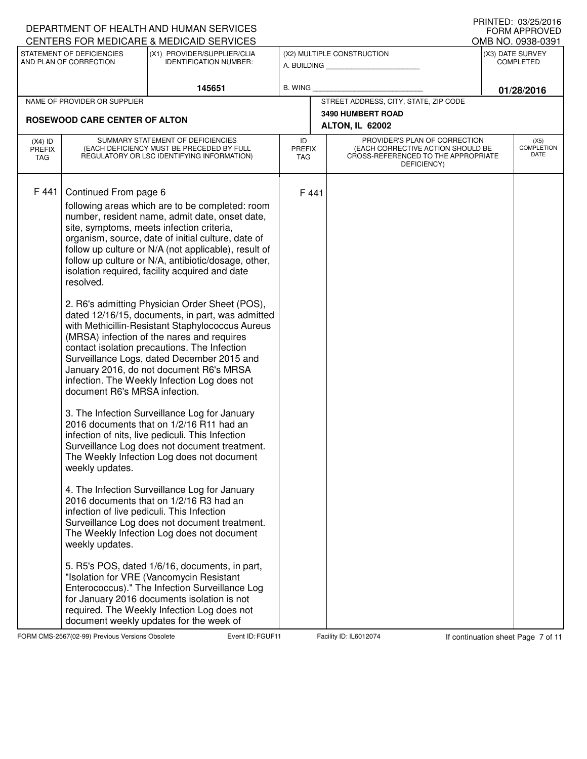|                                   |                                                               | DEPARTMENT OF HEALTH AND HUMAN SERVICES                                                                                                                                                                                                                                                                                                                                                       |                                   |       |                                                                                                                          | I IUIN LLU. VUZUZU IV<br><b>FORM APPROVED</b> |
|-----------------------------------|---------------------------------------------------------------|-----------------------------------------------------------------------------------------------------------------------------------------------------------------------------------------------------------------------------------------------------------------------------------------------------------------------------------------------------------------------------------------------|-----------------------------------|-------|--------------------------------------------------------------------------------------------------------------------------|-----------------------------------------------|
|                                   | STATEMENT OF DEFICIENCIES                                     | CENTERS FOR MEDICARE & MEDICAID SERVICES<br>(X1) PROVIDER/SUPPLIER/CLIA                                                                                                                                                                                                                                                                                                                       |                                   |       | (X2) MULTIPLE CONSTRUCTION                                                                                               | OMB NO. 0938-0391<br>(X3) DATE SURVEY         |
|                                   | AND PLAN OF CORRECTION                                        | <b>IDENTIFICATION NUMBER:</b>                                                                                                                                                                                                                                                                                                                                                                 |                                   |       | A. BUILDING                                                                                                              | <b>COMPLETED</b>                              |
|                                   |                                                               | 145651                                                                                                                                                                                                                                                                                                                                                                                        | <b>B. WING</b>                    |       |                                                                                                                          | 01/28/2016                                    |
|                                   | NAME OF PROVIDER OR SUPPLIER                                  |                                                                                                                                                                                                                                                                                                                                                                                               |                                   |       | STREET ADDRESS, CITY, STATE, ZIP CODE                                                                                    |                                               |
|                                   | <b>ROSEWOOD CARE CENTER OF ALTON</b>                          |                                                                                                                                                                                                                                                                                                                                                                                               |                                   |       | <b>3490 HUMBERT ROAD</b>                                                                                                 |                                               |
|                                   |                                                               |                                                                                                                                                                                                                                                                                                                                                                                               |                                   |       | ALTON, IL 62002                                                                                                          |                                               |
| $(X4)$ ID<br><b>PREFIX</b><br>TAG |                                                               | SUMMARY STATEMENT OF DEFICIENCIES<br>(EACH DEFICIENCY MUST BE PRECEDED BY FULL<br>REGULATORY OR LSC IDENTIFYING INFORMATION)                                                                                                                                                                                                                                                                  | ID<br><b>PREFIX</b><br><b>TAG</b> |       | PROVIDER'S PLAN OF CORRECTION<br>(EACH CORRECTIVE ACTION SHOULD BE<br>CROSS-REFERENCED TO THE APPROPRIATE<br>DEFICIENCY) | (X5)<br><b>COMPLETION</b><br>DATE             |
| F441                              | Continued From page 6                                         | following areas which are to be completed: room<br>number, resident name, admit date, onset date,<br>site, symptoms, meets infection criteria,<br>organism, source, date of initial culture, date of                                                                                                                                                                                          |                                   | F 441 |                                                                                                                          |                                               |
|                                   | resolved.                                                     | follow up culture or N/A (not applicable), result of<br>follow up culture or N/A, antibiotic/dosage, other,<br>isolation required, facility acquired and date                                                                                                                                                                                                                                 |                                   |       |                                                                                                                          |                                               |
|                                   | document R6's MRSA infection.                                 | 2. R6's admitting Physician Order Sheet (POS),<br>dated 12/16/15, documents, in part, was admitted<br>with Methicillin-Resistant Staphylococcus Aureus<br>(MRSA) infection of the nares and requires<br>contact isolation precautions. The Infection<br>Surveillance Logs, dated December 2015 and<br>January 2016, do not document R6's MRSA<br>infection. The Weekly Infection Log does not |                                   |       |                                                                                                                          |                                               |
|                                   | weekly updates.                                               | 3. The Infection Surveillance Log for January<br>2016 documents that on 1/2/16 R11 had an<br>infection of nits, live pediculi. This Infection<br>Surveillance Log does not document treatment.<br>The Weekly Infection Log does not document                                                                                                                                                  |                                   |       |                                                                                                                          |                                               |
|                                   | infection of live pediculi. This Infection<br>weekly updates. | 4. The Infection Surveillance Log for January<br>2016 documents that on 1/2/16 R3 had an<br>Surveillance Log does not document treatment.<br>The Weekly Infection Log does not document                                                                                                                                                                                                       |                                   |       |                                                                                                                          |                                               |
|                                   |                                                               | 5. R5's POS, dated 1/6/16, documents, in part,<br>"Isolation for VRE (Vancomycin Resistant<br>Enterococcus)." The Infection Surveillance Log<br>for January 2016 documents isolation is not<br>required. The Weekly Infection Log does not<br>document weekly updates for the week of                                                                                                         |                                   |       |                                                                                                                          |                                               |

FORM CMS-2567(02-99) Previous Versions Obsolete Event ID: FGUF11 Facility ID: IL6012074 If continuation sheet Page 7 of 11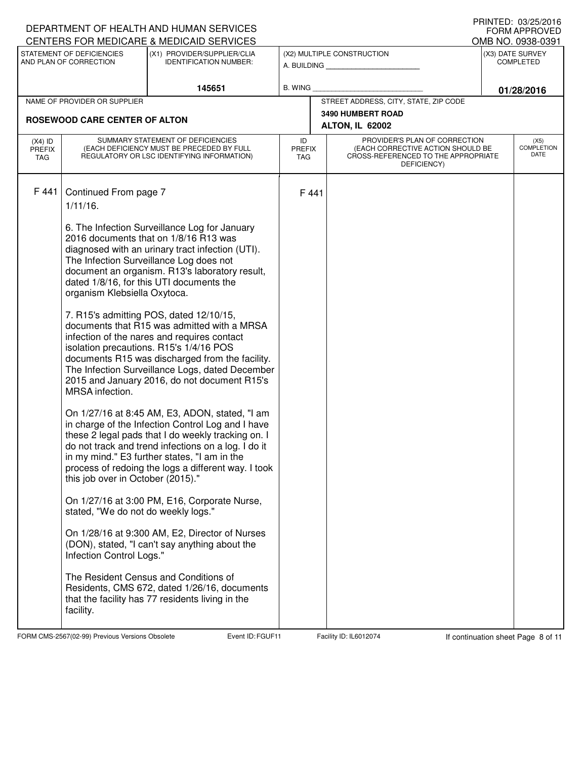|                      |                                      | DEPARTMENT OF HEALTH AND HUMAN SERVICES<br>CENTERS FOR MEDICARE & MEDICAID SERVICES                                                       |                             |                                             |                                                                                         |  | PRINTED: 03/25/2016<br><b>FORM APPROVED</b> |
|----------------------|--------------------------------------|-------------------------------------------------------------------------------------------------------------------------------------------|-----------------------------|---------------------------------------------|-----------------------------------------------------------------------------------------|--|---------------------------------------------|
|                      | STATEMENT OF DEFICIENCIES            | (X1) PROVIDER/SUPPLIER/CLIA                                                                                                               |                             |                                             | (X2) MULTIPLE CONSTRUCTION                                                              |  | OMB NO. 0938-0391<br>(X3) DATE SURVEY       |
|                      | AND PLAN OF CORRECTION               | <b>IDENTIFICATION NUMBER:</b>                                                                                                             |                             |                                             |                                                                                         |  | <b>COMPLETED</b>                            |
|                      |                                      | 145651                                                                                                                                    | B. WING                     |                                             |                                                                                         |  | 01/28/2016                                  |
|                      | NAME OF PROVIDER OR SUPPLIER         |                                                                                                                                           |                             |                                             | STREET ADDRESS, CITY, STATE, ZIP CODE                                                   |  |                                             |
|                      | <b>ROSEWOOD CARE CENTER OF ALTON</b> |                                                                                                                                           |                             | <b>3490 HUMBERT ROAD</b><br>ALTON, IL 62002 |                                                                                         |  |                                             |
| $(X4)$ ID            |                                      | SUMMARY STATEMENT OF DEFICIENCIES                                                                                                         | ID                          |                                             | PROVIDER'S PLAN OF CORRECTION                                                           |  | (X5)                                        |
| <b>PREFIX</b><br>TAG |                                      | (EACH DEFICIENCY MUST BE PRECEDED BY FULL<br>REGULATORY OR LSC IDENTIFYING INFORMATION)                                                   | <b>PREFIX</b><br><b>TAG</b> |                                             | (EACH CORRECTIVE ACTION SHOULD BE<br>CROSS-REFERENCED TO THE APPROPRIATE<br>DEFICIENCY) |  | <b>COMPLETION</b><br>DATE                   |
|                      |                                      |                                                                                                                                           |                             |                                             |                                                                                         |  |                                             |
| F 441                | Continued From page 7                |                                                                                                                                           | F 441                       |                                             |                                                                                         |  |                                             |
|                      | $1/11/16$ .                          |                                                                                                                                           |                             |                                             |                                                                                         |  |                                             |
|                      |                                      | 6. The Infection Surveillance Log for January                                                                                             |                             |                                             |                                                                                         |  |                                             |
|                      |                                      | 2016 documents that on 1/8/16 R13 was<br>diagnosed with an urinary tract infection (UTI).                                                 |                             |                                             |                                                                                         |  |                                             |
|                      |                                      | The Infection Surveillance Log does not                                                                                                   |                             |                                             |                                                                                         |  |                                             |
|                      |                                      | document an organism. R13's laboratory result,<br>dated 1/8/16, for this UTI documents the                                                |                             |                                             |                                                                                         |  |                                             |
|                      | organism Klebsiella Oxytoca.         |                                                                                                                                           |                             |                                             |                                                                                         |  |                                             |
|                      |                                      | 7. R15's admitting POS, dated 12/10/15,                                                                                                   |                             |                                             |                                                                                         |  |                                             |
|                      |                                      | documents that R15 was admitted with a MRSA<br>infection of the nares and requires contact                                                |                             |                                             |                                                                                         |  |                                             |
|                      |                                      | isolation precautions. R15's 1/4/16 POS                                                                                                   |                             |                                             |                                                                                         |  |                                             |
|                      |                                      | documents R15 was discharged from the facility.<br>The Infection Surveillance Logs, dated December                                        |                             |                                             |                                                                                         |  |                                             |
|                      |                                      | 2015 and January 2016, do not document R15's                                                                                              |                             |                                             |                                                                                         |  |                                             |
|                      | MRSA infection.                      |                                                                                                                                           |                             |                                             |                                                                                         |  |                                             |
|                      |                                      | On 1/27/16 at 8:45 AM, E3, ADON, stated, "I am                                                                                            |                             |                                             |                                                                                         |  |                                             |
|                      |                                      | in charge of the Infection Control Log and I have<br>these 2 legal pads that I do weekly tracking on. I                                   |                             |                                             |                                                                                         |  |                                             |
|                      |                                      | do not track and trend infections on a log. I do it                                                                                       |                             |                                             |                                                                                         |  |                                             |
|                      |                                      | in my mind." E3 further states, "I am in the<br>process of redoing the logs a different way. I took                                       |                             |                                             |                                                                                         |  |                                             |
|                      | this job over in October (2015)."    |                                                                                                                                           |                             |                                             |                                                                                         |  |                                             |
|                      | stated, "We do not do weekly logs."  | On 1/27/16 at 3:00 PM, E16, Corporate Nurse,                                                                                              |                             |                                             |                                                                                         |  |                                             |
|                      | Infection Control Logs."             | On 1/28/16 at 9:300 AM, E2, Director of Nurses<br>(DON), stated, "I can't say anything about the                                          |                             |                                             |                                                                                         |  |                                             |
|                      | facility.                            | The Resident Census and Conditions of<br>Residents, CMS 672, dated 1/26/16, documents<br>that the facility has 77 residents living in the |                             |                                             |                                                                                         |  |                                             |
|                      |                                      |                                                                                                                                           |                             |                                             |                                                                                         |  |                                             |

FORM CMS-2567(02-99) Previous Versions Obsolete Furth Event ID: FGUF11 Facility ID: IL6012074 If continuation sheet Page 8 of 11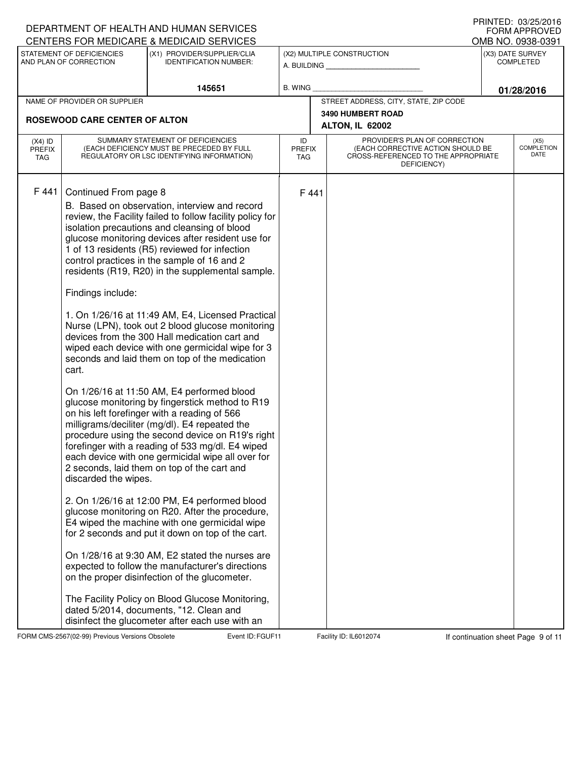|                                   |                                                                             | DEPARTMENT OF HEALTH AND HUMAN SERVICES                                                                                                                                                                                                                                                                                                                                                                                                                                                                                                                                                                                                                                                                                                                                                                                                                                                                                                                                                                                                                                                                                                                                                                                                                                                                                                                                                                                                                                                                                                                               |                                   |                                                                                                                          | <b>I INIVILD. VJZJZUIU</b><br><b>FORM APPROVED</b> |
|-----------------------------------|-----------------------------------------------------------------------------|-----------------------------------------------------------------------------------------------------------------------------------------------------------------------------------------------------------------------------------------------------------------------------------------------------------------------------------------------------------------------------------------------------------------------------------------------------------------------------------------------------------------------------------------------------------------------------------------------------------------------------------------------------------------------------------------------------------------------------------------------------------------------------------------------------------------------------------------------------------------------------------------------------------------------------------------------------------------------------------------------------------------------------------------------------------------------------------------------------------------------------------------------------------------------------------------------------------------------------------------------------------------------------------------------------------------------------------------------------------------------------------------------------------------------------------------------------------------------------------------------------------------------------------------------------------------------|-----------------------------------|--------------------------------------------------------------------------------------------------------------------------|----------------------------------------------------|
|                                   | STATEMENT OF DEFICIENCIES                                                   | CENTERS FOR MEDICARE & MEDICAID SERVICES<br>(X1) PROVIDER/SUPPLIER/CLIA                                                                                                                                                                                                                                                                                                                                                                                                                                                                                                                                                                                                                                                                                                                                                                                                                                                                                                                                                                                                                                                                                                                                                                                                                                                                                                                                                                                                                                                                                               |                                   |                                                                                                                          | OMB NO. 0938-0391<br>(X3) DATE SURVEY              |
|                                   | AND PLAN OF CORRECTION                                                      | <b>IDENTIFICATION NUMBER:</b>                                                                                                                                                                                                                                                                                                                                                                                                                                                                                                                                                                                                                                                                                                                                                                                                                                                                                                                                                                                                                                                                                                                                                                                                                                                                                                                                                                                                                                                                                                                                         |                                   | (X2) MULTIPLE CONSTRUCTION<br>A. BUILDING                                                                                | <b>COMPLETED</b>                                   |
|                                   |                                                                             | 145651                                                                                                                                                                                                                                                                                                                                                                                                                                                                                                                                                                                                                                                                                                                                                                                                                                                                                                                                                                                                                                                                                                                                                                                                                                                                                                                                                                                                                                                                                                                                                                | <b>B. WING</b>                    |                                                                                                                          | 01/28/2016                                         |
|                                   | NAME OF PROVIDER OR SUPPLIER                                                |                                                                                                                                                                                                                                                                                                                                                                                                                                                                                                                                                                                                                                                                                                                                                                                                                                                                                                                                                                                                                                                                                                                                                                                                                                                                                                                                                                                                                                                                                                                                                                       |                                   | STREET ADDRESS, CITY, STATE, ZIP CODE                                                                                    |                                                    |
|                                   | <b>ROSEWOOD CARE CENTER OF ALTON</b>                                        |                                                                                                                                                                                                                                                                                                                                                                                                                                                                                                                                                                                                                                                                                                                                                                                                                                                                                                                                                                                                                                                                                                                                                                                                                                                                                                                                                                                                                                                                                                                                                                       |                                   | <b>3490 HUMBERT ROAD</b><br>ALTON, IL 62002                                                                              |                                                    |
| $(X4)$ ID<br><b>PREFIX</b><br>TAG |                                                                             | SUMMARY STATEMENT OF DEFICIENCIES<br>(EACH DEFICIENCY MUST BE PRECEDED BY FULL<br>REGULATORY OR LSC IDENTIFYING INFORMATION)                                                                                                                                                                                                                                                                                                                                                                                                                                                                                                                                                                                                                                                                                                                                                                                                                                                                                                                                                                                                                                                                                                                                                                                                                                                                                                                                                                                                                                          | ID<br><b>PREFIX</b><br><b>TAG</b> | PROVIDER'S PLAN OF CORRECTION<br>(EACH CORRECTIVE ACTION SHOULD BE<br>CROSS-REFERENCED TO THE APPROPRIATE<br>DEFICIENCY) | (X5)<br><b>COMPLETION</b><br>DATE                  |
| F 441                             | Continued From page 8<br>Findings include:<br>cart.<br>discarded the wipes. | B. Based on observation, interview and record<br>review, the Facility failed to follow facility policy for<br>isolation precautions and cleansing of blood<br>glucose monitoring devices after resident use for<br>1 of 13 residents (R5) reviewed for infection<br>control practices in the sample of 16 and 2<br>residents (R19, R20) in the supplemental sample.<br>1. On 1/26/16 at 11:49 AM, E4, Licensed Practical<br>Nurse (LPN), took out 2 blood glucose monitoring<br>devices from the 300 Hall medication cart and<br>wiped each device with one germicidal wipe for 3<br>seconds and laid them on top of the medication<br>On 1/26/16 at 11:50 AM, E4 performed blood<br>glucose monitoring by fingerstick method to R19<br>on his left forefinger with a reading of 566<br>milligrams/deciliter (mg/dl). E4 repeated the<br>procedure using the second device on R19's right<br>forefinger with a reading of 533 mg/dl. E4 wiped<br>each device with one germicidal wipe all over for<br>2 seconds, laid them on top of the cart and<br>2. On 1/26/16 at 12:00 PM, E4 performed blood<br>glucose monitoring on R20. After the procedure,<br>E4 wiped the machine with one germicidal wipe<br>for 2 seconds and put it down on top of the cart.<br>On 1/28/16 at 9:30 AM, E2 stated the nurses are<br>expected to follow the manufacturer's directions<br>on the proper disinfection of the glucometer.<br>The Facility Policy on Blood Glucose Monitoring,<br>dated 5/2014, documents, "12. Clean and<br>disinfect the glucometer after each use with an | F 441                             |                                                                                                                          |                                                    |

FORM CMS-2567(02-99) Previous Versions Obsolete Event ID: FGUF11 Facility ID: IL6012074 If continuation sheet Page 9 of 11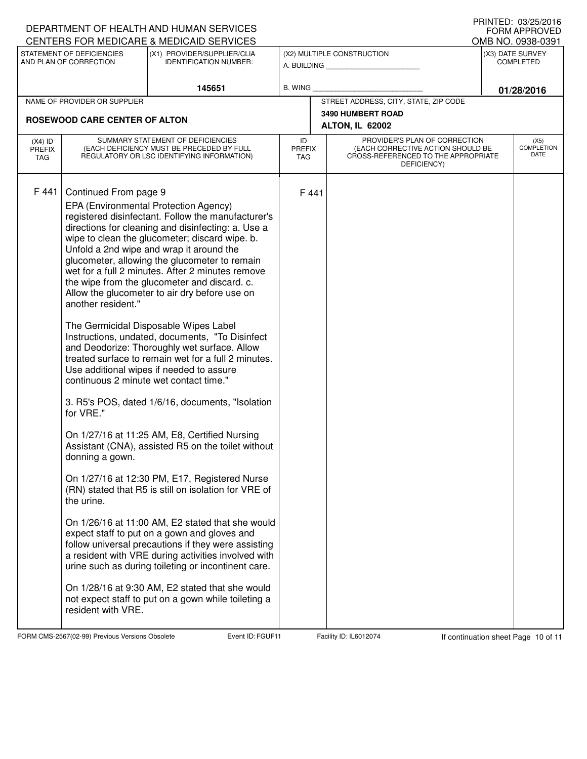|                                   |                                                                                                                 | DEPARTMENT OF HEALTH AND HUMAN SERVICES                                                                                                                                                                                                                                                                                                                                                                                                                                                                                                                                                                                                                                                                                                                                                                                                                                                                                                                                                                                                                                                                                                                                                                                                                                                                                                                                                               |                                   |                                                                                                                          | I IUIN LLU. VUZUZU I V<br><b>FORM APPROVED</b> |
|-----------------------------------|-----------------------------------------------------------------------------------------------------------------|-------------------------------------------------------------------------------------------------------------------------------------------------------------------------------------------------------------------------------------------------------------------------------------------------------------------------------------------------------------------------------------------------------------------------------------------------------------------------------------------------------------------------------------------------------------------------------------------------------------------------------------------------------------------------------------------------------------------------------------------------------------------------------------------------------------------------------------------------------------------------------------------------------------------------------------------------------------------------------------------------------------------------------------------------------------------------------------------------------------------------------------------------------------------------------------------------------------------------------------------------------------------------------------------------------------------------------------------------------------------------------------------------------|-----------------------------------|--------------------------------------------------------------------------------------------------------------------------|------------------------------------------------|
|                                   | STATEMENT OF DEFICIENCIES                                                                                       | CENTERS FOR MEDICARE & MEDICAID SERVICES<br>(X1) PROVIDER/SUPPLIER/CLIA                                                                                                                                                                                                                                                                                                                                                                                                                                                                                                                                                                                                                                                                                                                                                                                                                                                                                                                                                                                                                                                                                                                                                                                                                                                                                                                               |                                   | (X2) MULTIPLE CONSTRUCTION                                                                                               | OMB NO. 0938-0391<br>(X3) DATE SURVEY          |
|                                   | AND PLAN OF CORRECTION                                                                                          | <b>IDENTIFICATION NUMBER:</b>                                                                                                                                                                                                                                                                                                                                                                                                                                                                                                                                                                                                                                                                                                                                                                                                                                                                                                                                                                                                                                                                                                                                                                                                                                                                                                                                                                         |                                   | A. BUILDING                                                                                                              | <b>COMPLETED</b>                               |
|                                   |                                                                                                                 | 145651                                                                                                                                                                                                                                                                                                                                                                                                                                                                                                                                                                                                                                                                                                                                                                                                                                                                                                                                                                                                                                                                                                                                                                                                                                                                                                                                                                                                | <b>B. WING</b>                    |                                                                                                                          | 01/28/2016                                     |
|                                   | NAME OF PROVIDER OR SUPPLIER                                                                                    |                                                                                                                                                                                                                                                                                                                                                                                                                                                                                                                                                                                                                                                                                                                                                                                                                                                                                                                                                                                                                                                                                                                                                                                                                                                                                                                                                                                                       |                                   | STREET ADDRESS, CITY, STATE, ZIP CODE                                                                                    |                                                |
|                                   | <b>ROSEWOOD CARE CENTER OF ALTON</b>                                                                            |                                                                                                                                                                                                                                                                                                                                                                                                                                                                                                                                                                                                                                                                                                                                                                                                                                                                                                                                                                                                                                                                                                                                                                                                                                                                                                                                                                                                       |                                   | <b>3490 HUMBERT ROAD</b><br><b>ALTON, IL 62002</b>                                                                       |                                                |
| $(X4)$ ID<br><b>PREFIX</b><br>TAG |                                                                                                                 | SUMMARY STATEMENT OF DEFICIENCIES<br>(EACH DEFICIENCY MUST BE PRECEDED BY FULL<br>REGULATORY OR LSC IDENTIFYING INFORMATION)                                                                                                                                                                                                                                                                                                                                                                                                                                                                                                                                                                                                                                                                                                                                                                                                                                                                                                                                                                                                                                                                                                                                                                                                                                                                          | ID<br><b>PREFIX</b><br><b>TAG</b> | PROVIDER'S PLAN OF CORRECTION<br>(EACH CORRECTIVE ACTION SHOULD BE<br>CROSS-REFERENCED TO THE APPROPRIATE<br>DEFICIENCY) | (X5)<br><b>COMPLETION</b><br>DATE              |
| F 441                             | Continued From page 9<br>another resident."<br>for VRE."<br>donning a gown.<br>the urine.<br>resident with VRE. | EPA (Environmental Protection Agency)<br>registered disinfectant. Follow the manufacturer's<br>directions for cleaning and disinfecting: a. Use a<br>wipe to clean the glucometer; discard wipe. b.<br>Unfold a 2nd wipe and wrap it around the<br>glucometer, allowing the glucometer to remain<br>wet for a full 2 minutes. After 2 minutes remove<br>the wipe from the glucometer and discard. c.<br>Allow the glucometer to air dry before use on<br>The Germicidal Disposable Wipes Label<br>Instructions, undated, documents, "To Disinfect<br>and Deodorize: Thoroughly wet surface. Allow<br>treated surface to remain wet for a full 2 minutes.<br>Use additional wipes if needed to assure<br>continuous 2 minute wet contact time."<br>3. R5's POS, dated 1/6/16, documents, "Isolation<br>On 1/27/16 at 11:25 AM, E8, Certified Nursing<br>Assistant (CNA), assisted R5 on the toilet without<br>On 1/27/16 at 12:30 PM, E17, Registered Nurse<br>(RN) stated that R5 is still on isolation for VRE of<br>On 1/26/16 at 11:00 AM, E2 stated that she would<br>expect staff to put on a gown and gloves and<br>follow universal precautions if they were assisting<br>a resident with VRE during activities involved with<br>urine such as during toileting or incontinent care.<br>On 1/28/16 at 9:30 AM, E2 stated that she would<br>not expect staff to put on a gown while toileting a | F 441                             |                                                                                                                          |                                                |

FORM CMS-2567(02-99) Previous Versions Obsolete Furth Event ID: FGUF11 Facility ID: IL6012074 If continuation sheet Page 10 of 11